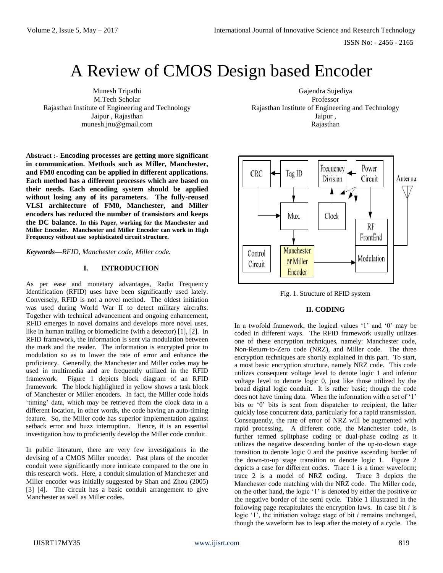# A Review of CMOS Design based Encoder

Munesh Tripathi M.Tech Scholar Rajasthan Institute of Engineering and Technology Jaipur , Rajasthan munesh.jnu@gmail.com

**Abstract :- Encoding processes are getting more significant in communication. Methods such as Miller, Manchester, and FM0 encoding can be applied in different applications. Each method has a different processes which are based on their needs. Each encoding system should be applied without losing any of its parameters. The fully-reused VLSI architecture of FM0, Manchester, and Miller encoders has reduced the number of transistors and keeps the DC balance. In this Paper, working for the Manchester and Miller Encoder. Manchester and Miller Encoder can work in High Frequency without use sophisticated circuit structure.**

*Keywords—RFID, Manchester code, Miller code.*

## **I. INTRODUCTION**

As per ease and monetary advantages, Radio Frequency Identification (RFID) uses have been significantly used lately. Conversely, RFID is not a novel method. The oldest initiation was used during World War II to detect military aircrafts. Together with technical advancement and ongoing enhancement, RFID emerges in novel domains and develops more novel uses, like in human trailing or biomedicine (with a detector) [1], [2]. In RFID framework, the information is sent via modulation between the mark and the reader. The information is encrypted prior to modulation so as to lower the rate of error and enhance the proficiency. Generally, the Manchester and Miller codes may be used in multimedia and are frequently utilized in the RFID framework. Figure 1 depicts block diagram of an RFID framework. The block highlighted in yellow shows a task block of Manchester or Miller encoders. In fact, the Miller code holds 'timing' data, which may be retrieved from the clock data in a different location, in other words, the code having an auto-timing feature. So, the Miller code has superior implementation against setback error and buzz interruption. Hence, it is an essential investigation how to proficiently develop the Miller code conduit.

In public literature, there are very few investigations in the devising of a CMOS Miller encoder. Past plans of the encoder conduit were significantly more intricate compared to the one in this research work. Here, a conduit simulation of Manchester and Miller encoder was initially suggested by Shan and Zhou (2005) [3] [4]. The circuit has a basic conduit arrangement to give Manchester as well as Miller codes.

Gajendra Sujediya Professor Rajasthan Institute of Engineering and Technology Jaipur , Rajasthan



Fig. 1. Structure of RFID system

### **II. CODING**

In a twofold framework, the logical values '1' and '0' may be coded in different ways. The RFID framework usually utilizes one of these encryption techniques, namely: Manchester code, Non-Return-to-Zero code (NRZ), and Miller code. The three encryption techniques are shortly explained in this part. To start, a most basic encryption structure, namely NRZ code. This code utilizes consequent voltage level to denote logic 1 and inferior voltage level to denote logic 0, just like those utilized by the broad digital logic conduit. It is rather basic; though the code does not have timing data. When the information with a set of '1' bits or '0' bits is sent from dispatcher to recipient, the latter quickly lose concurrent data, particularly for a rapid transmission. Consequently, the rate of error of NRZ will be augmented with rapid processing. A different code, the Manchester code, is further termed splitphase coding or dual-phase coding as it utilizes the negative descending border of the up-to-down stage transition to denote logic 0 and the positive ascending border of the down-to-up stage transition to denote logic 1. Figure 2 depicts a case for different codes. Trace 1 is a timer waveform; trace 2 is a model of NRZ coding. Trace 3 depicts the Manchester code matching with the NRZ code. The Miller code, on the other hand, the logic '1' is denoted by either the positive or the negative border of the semi cycle. Table 1 illustrated in the following page recapitulates the encryption laws. In case bit *i* is logic '1', the initiation voltage stage of bit *i* remains unchanged, though the waveform has to leap after the moiety of a cycle. The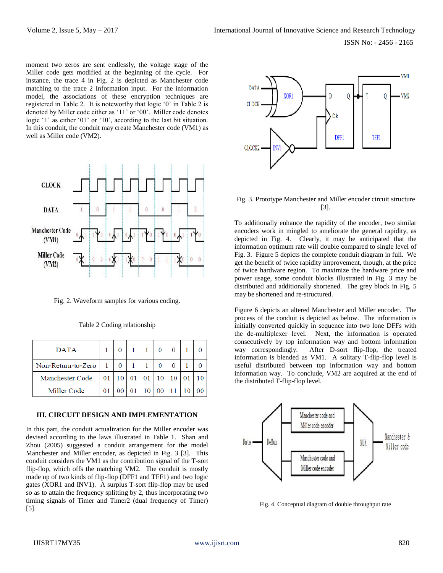moment two zeros are sent endlessly, the voltage stage of the Miller code gets modified at the beginning of the cycle. For instance, the trace 4 in Fig. 2 is depicted as Manchester code matching to the trace 2 Information input. For the information model, the associations of these encryption techniques are registered in Table 2. It is noteworthy that logic '0' in Table 2 is denoted by Miller code either as '11' or '00'. Miller code denotes logic '1' as either '01' or '10', according to the last bit situation. In this conduit, the conduit may create Manchester code (VM1) as well as Miller code (VM2).



Fig. 2. Waveform samples for various coding.

| <b>DATA</b>        |                      |  |  |  |  |
|--------------------|----------------------|--|--|--|--|
| Non-Return-to-Zero |                      |  |  |  |  |
| Manchester Code    | 01 10 01 01 10 10 01 |  |  |  |  |

Table 2 Coding relationship

## **III. CIRCUIT DESIGN AND IMPLEMENTATION**

01 00 01 10 00 11 10 00

In this part, the conduit actualization for the Miller encoder was devised according to the laws illustrated in Table 1. Shan and Zhou (2005) suggested a conduit arrangement for the model Manchester and Miller encoder, as depicted in Fig. 3 [3]. This conduit considers the VM1 as the contribution signal of the T-sort flip-flop, which offs the matching VM2. The conduit is mostly made up of two kinds of flip-flop (DFF1 and TFF1) and two logic gates (XOR1 and INV1). A surplus T-sort flip-flop may be used so as to attain the frequency splitting by 2, thus incorporating two timing signals of Timer and Timer2 (dual frequency of Timer) [5].



## Fig. 3. Prototype Manchester and Miller encoder circuit structure [3].

To additionally enhance the rapidity of the encoder, two similar encoders work in mingled to ameliorate the general rapidity, as depicted in Fig. 4. Clearly, it may be anticipated that the information optimum rate will double compared to single level of Fig. 3. Figure 5 depicts the complete conduit diagram in full. We get the benefit of twice rapidity improvement, though, at the price of twice hardware region. To maximize the hardware price and power usage, some conduit blocks illustrated in Fig. 3 may be distributed and additionally shortened. The grey block in Fig. 5 may be shortened and re-structured.

Figure 6 depicts an altered Manchester and Miller encoder. The process of the conduit is depicted as below. The information is initially converted quickly in sequence into two lone DFFs with the de-multiplexer level. Next, the information is operated consecutively by top information way and bottom information way correspondingly. After D-sort flip-flop, the treated information is blended as VM1. A solitary T-flip-flop level is useful distributed between top information way and bottom information way. To conclude, VM2 are acquired at the end of the distributed T-flip-flop level.



Fig. 4. Conceptual diagram of double throughput rate

Miller Code